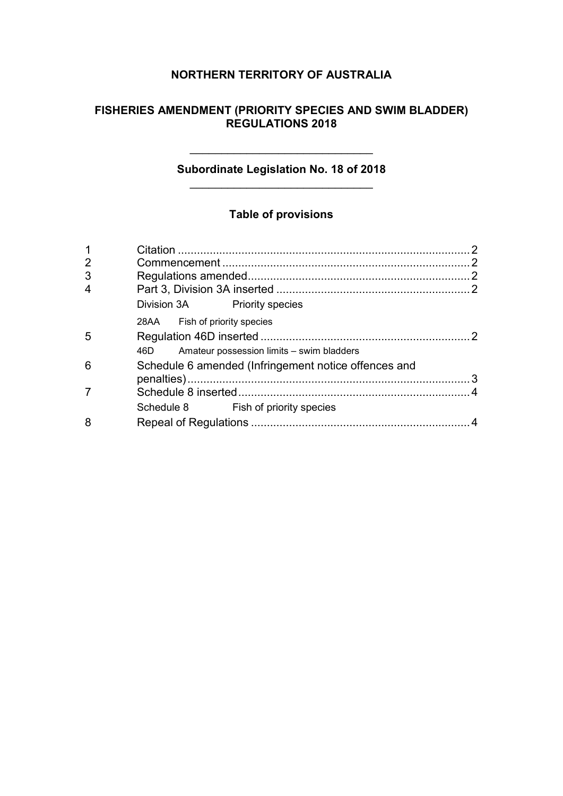# **NORTHERN TERRITORY OF AUSTRALIA**

## **FISHERIES AMENDMENT (PRIORITY SPECIES AND SWIM BLADDER) REGULATIONS 2018**

### **Subordinate Legislation No. 18 of 2018** \_\_\_\_\_\_\_\_\_\_\_\_\_\_\_\_\_\_\_\_\_\_\_\_\_\_\_\_\_

\_\_\_\_\_\_\_\_\_\_\_\_\_\_\_\_\_\_\_\_\_\_\_\_\_\_\_\_\_

# **Table of provisions**

| $\overline{2}$ |                                                      |  |  |
|----------------|------------------------------------------------------|--|--|
| 3              |                                                      |  |  |
| 4              |                                                      |  |  |
|                | Division 3A Priority species                         |  |  |
|                | 28AA Fish of priority species                        |  |  |
| 5              |                                                      |  |  |
|                | Amateur possession limits - swim bladders<br>46D -   |  |  |
| 6              | Schedule 6 amended (Infringement notice offences and |  |  |
|                |                                                      |  |  |
|                |                                                      |  |  |
|                | Schedule 8 Fish of priority species                  |  |  |
| 8              |                                                      |  |  |
|                |                                                      |  |  |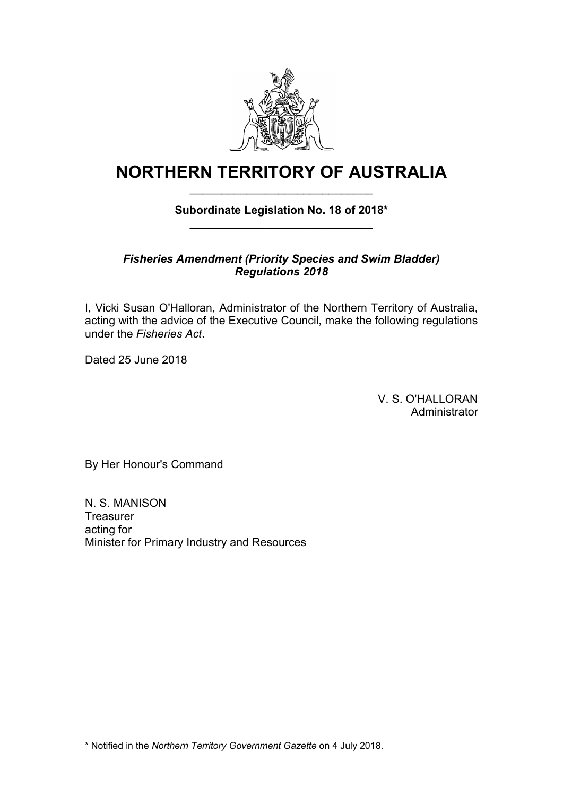

# **NORTHERN TERRITORY OF AUSTRALIA** \_\_\_\_\_\_\_\_\_\_\_\_\_\_\_\_\_\_\_\_\_\_\_\_\_\_\_\_\_

## **Subordinate Legislation No. 18 of 2018\*** \_\_\_\_\_\_\_\_\_\_\_\_\_\_\_\_\_\_\_\_\_\_\_\_\_\_\_\_\_

### *Fisheries Amendment (Priority Species and Swim Bladder) Regulations 2018*

I, Vicki Susan O'Halloran, Administrator of the Northern Territory of Australia, acting with the advice of the Executive Council, make the following regulations under the *Fisheries Act*.

Dated 25 June 2018

V. S. O'HALLORAN **Administrator** 

By Her Honour's Command

N. S. MANISON **Treasurer** acting for Minister for Primary Industry and Resources

\* Notified in the *Northern Territory Government Gazette* on 4 July 2018.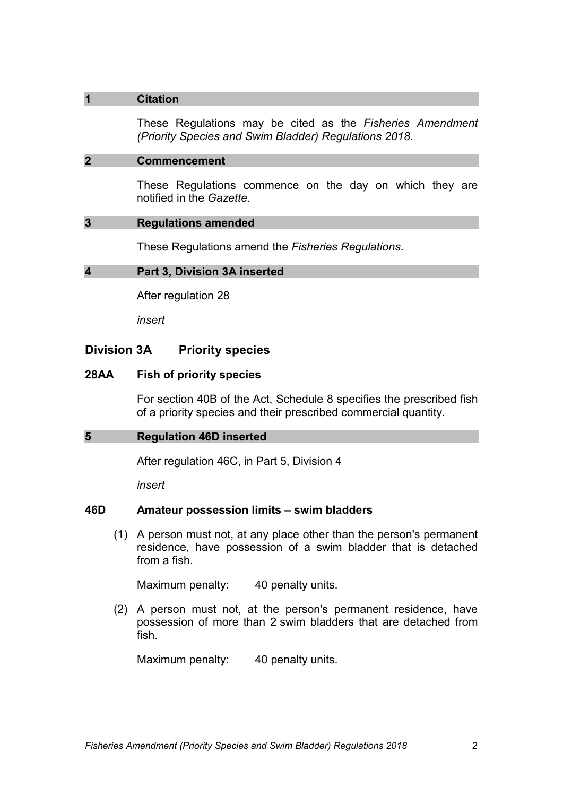### **1 Citation**

These Regulations may be cited as the *Fisheries Amendment (Priority Species and Swim Bladder) Regulations 2018*.

#### **2 Commencement**

These Regulations commence on the day on which they are notified in the *Gazette*.

#### **3 Regulations amended**

These Regulations amend the *Fisheries Regulations*.

#### **4 Part 3, Division 3A inserted**

After regulation 28

*insert*

### **Division 3A Priority species**

#### **28AA Fish of priority species**

For section 40B of the Act, Schedule 8 specifies the prescribed fish of a priority species and their prescribed commercial quantity.

### **5 Regulation 46D inserted**

After regulation 46C, in Part 5, Division 4

*insert*

### **46D Amateur possession limits – swim bladders**

(1) A person must not, at any place other than the person's permanent residence, have possession of a swim bladder that is detached from a fish.

Maximum penalty: 40 penalty units.

(2) A person must not, at the person's permanent residence, have possession of more than 2 swim bladders that are detached from fish.

Maximum penalty: 40 penalty units.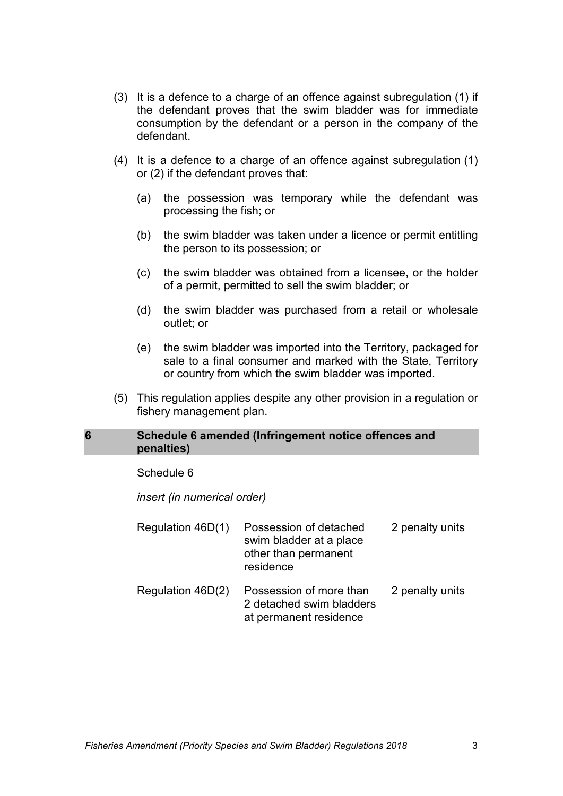- (3) It is a defence to a charge of an offence against subregulation (1) if the defendant proves that the swim bladder was for immediate consumption by the defendant or a person in the company of the defendant.
- (4) It is a defence to a charge of an offence against subregulation (1) or (2) if the defendant proves that:
	- (a) the possession was temporary while the defendant was processing the fish; or
	- (b) the swim bladder was taken under a licence or permit entitling the person to its possession; or
	- (c) the swim bladder was obtained from a licensee, or the holder of a permit, permitted to sell the swim bladder; or
	- (d) the swim bladder was purchased from a retail or wholesale outlet; or
	- (e) the swim bladder was imported into the Territory, packaged for sale to a final consumer and marked with the State, Territory or country from which the swim bladder was imported.
- (5) This regulation applies despite any other provision in a regulation or fishery management plan.

### **6 Schedule 6 amended (Infringement notice offences and penalties)**

#### Schedule 6

*insert (in numerical order)*

| Regulation 46D(1) | Possession of detached<br>swim bladder at a place<br>other than permanent<br>residence | 2 penalty units |
|-------------------|----------------------------------------------------------------------------------------|-----------------|
| Regulation 46D(2) | Possession of more than<br>2 detached swim bladders<br>at permanent residence          | 2 penalty units |